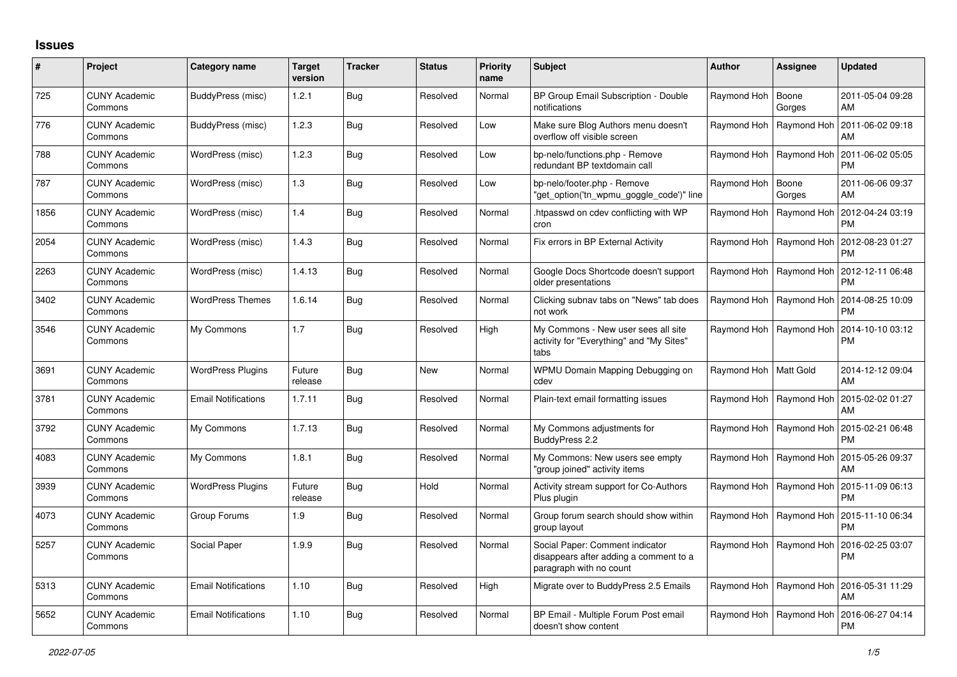## **Issues**

| $\pmb{\sharp}$ | Project                         | Category name              | <b>Target</b><br>version | <b>Tracker</b> | <b>Status</b> | <b>Priority</b><br>name | <b>Subject</b>                                                                                       | <b>Author</b>           | Assignee                  | <b>Updated</b>                |
|----------------|---------------------------------|----------------------------|--------------------------|----------------|---------------|-------------------------|------------------------------------------------------------------------------------------------------|-------------------------|---------------------------|-------------------------------|
| 725            | <b>CUNY Academic</b><br>Commons | BuddyPress (misc)          | 1.2.1                    | <b>Bug</b>     | Resolved      | Normal                  | BP Group Email Subscription - Double<br>notifications                                                | Raymond Hoh             | Boone<br>Gorges           | 2011-05-04 09:28<br>AM        |
| 776            | <b>CUNY Academic</b><br>Commons | BuddyPress (misc)          | 1.2.3                    | <b>Bug</b>     | Resolved      | Low                     | Make sure Blog Authors menu doesn't<br>overflow off visible screen                                   | Raymond Hoh             | Raymond Hoh               | 2011-06-02 09:18<br>AM        |
| 788            | <b>CUNY Academic</b><br>Commons | WordPress (misc)           | 1.2.3                    | <b>Bug</b>     | Resolved      | Low                     | bp-nelo/functions.php - Remove<br>redundant BP textdomain call                                       | Raymond Hoh             | Raymond Hoh               | 2011-06-02 05:05<br><b>PM</b> |
| 787            | <b>CUNY Academic</b><br>Commons | WordPress (misc)           | 1.3                      | <b>Bug</b>     | Resolved      | Low                     | bp-nelo/footer.php - Remove<br>'get_option('tn_wpmu_goggle_code')" line                              | Raymond Hoh             | Boone<br>Gorges           | 2011-06-06 09:37<br>AM        |
| 1856           | <b>CUNY Academic</b><br>Commons | WordPress (misc)           | 1.4                      | <b>Bug</b>     | Resolved      | Normal                  | htpasswd on cdev conflicting with WP<br>cron                                                         | Raymond Hoh             | Raymond Hoh               | 2012-04-24 03:19<br><b>PM</b> |
| 2054           | <b>CUNY Academic</b><br>Commons | WordPress (misc)           | 1.4.3                    | <b>Bug</b>     | Resolved      | Normal                  | Fix errors in BP External Activity                                                                   | Raymond Hoh             | Raymond Hoh               | 2012-08-23 01:27<br><b>PM</b> |
| 2263           | <b>CUNY Academic</b><br>Commons | WordPress (misc)           | 1.4.13                   | <b>Bug</b>     | Resolved      | Normal                  | Google Docs Shortcode doesn't support<br>older presentations                                         | Raymond Hoh             | Raymond Hoh               | 2012-12-11 06:48<br><b>PM</b> |
| 3402           | <b>CUNY Academic</b><br>Commons | <b>WordPress Themes</b>    | 1.6.14                   | <b>Bug</b>     | Resolved      | Normal                  | Clicking subnav tabs on "News" tab does<br>not work                                                  | Raymond Hoh             | Raymond Hoh               | 2014-08-25 10:09<br><b>PM</b> |
| 3546           | <b>CUNY Academic</b><br>Commons | My Commons                 | 1.7                      | <b>Bug</b>     | Resolved      | High                    | My Commons - New user sees all site<br>activity for "Everything" and "My Sites"<br>tabs              | Raymond Hoh             | Raymond Hoh               | 2014-10-10 03:12<br><b>PM</b> |
| 3691           | <b>CUNY Academic</b><br>Commons | <b>WordPress Plugins</b>   | Future<br>release        | <b>Bug</b>     | <b>New</b>    | Normal                  | WPMU Domain Mapping Debugging on<br>cdev                                                             | Raymond Hoh   Matt Gold |                           | 2014-12-12 09:04<br>AM        |
| 3781           | <b>CUNY Academic</b><br>Commons | <b>Email Notifications</b> | 1.7.11                   | <b>Bug</b>     | Resolved      | Normal                  | Plain-text email formatting issues                                                                   | Raymond Hoh             | Raymond Hoh               | 2015-02-02 01:27<br>AM        |
| 3792           | <b>CUNY Academic</b><br>Commons | My Commons                 | 1.7.13                   | Bug            | Resolved      | Normal                  | My Commons adjustments for<br>BuddyPress 2.2                                                         | Raymond Hoh             | Raymond Hoh               | 2015-02-21 06:48<br><b>PM</b> |
| 4083           | <b>CUNY Academic</b><br>Commons | My Commons                 | 1.8.1                    | <b>Bug</b>     | Resolved      | Normal                  | My Commons: New users see empty<br>'group joined" activity items                                     | Raymond Hoh             | Raymond Hoh               | 2015-05-26 09:37<br>AM        |
| 3939           | <b>CUNY Academic</b><br>Commons | <b>WordPress Plugins</b>   | Future<br>release        | Bug            | Hold          | Normal                  | Activity stream support for Co-Authors<br>Plus plugin                                                | Raymond Hoh             | Raymond Hoh               | 2015-11-09 06:13<br><b>PM</b> |
| 4073           | <b>CUNY Academic</b><br>Commons | Group Forums               | 1.9                      | <b>Bug</b>     | Resolved      | Normal                  | Group forum search should show within<br>group layout                                                | Raymond Hoh             | Raymond Hoh               | 2015-11-10 06:34<br><b>PM</b> |
| 5257           | <b>CUNY Academic</b><br>Commons | Social Paper               | 1.9.9                    | Bug            | Resolved      | Normal                  | Social Paper: Comment indicator<br>disappears after adding a comment to a<br>paragraph with no count | Raymond Hoh             | Raymond Hoh               | 2016-02-25 03:07<br>PM        |
| 5313           | <b>CUNY Academic</b><br>Commons | <b>Email Notifications</b> | 1.10                     | <b>Bug</b>     | Resolved      | High                    | Migrate over to BuddyPress 2.5 Emails                                                                | Raymond Hoh             | Raymond Hoh               | 2016-05-31 11:29<br>AM        |
| 5652           | <b>CUNY Academic</b><br>Commons | <b>Email Notifications</b> | 1.10                     | <b>Bug</b>     | Resolved      | Normal                  | BP Email - Multiple Forum Post email<br>doesn't show content                                         |                         | Raymond Hoh   Raymond Hoh | 2016-06-27 04:14<br><b>PM</b> |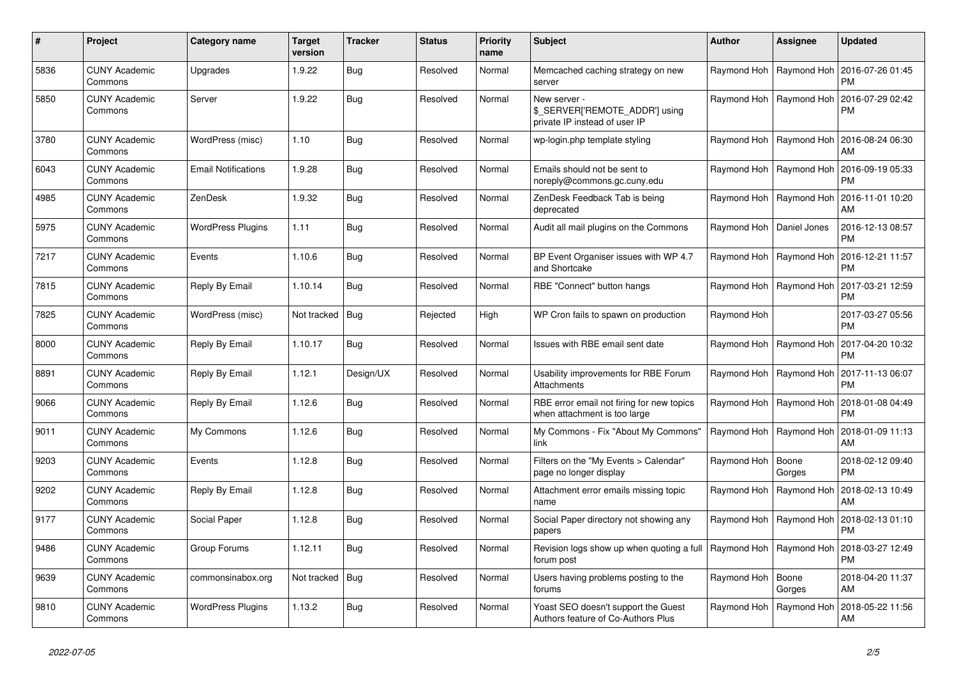| #    | Project                         | Category name              | <b>Target</b><br>version | <b>Tracker</b> | <b>Status</b> | <b>Priority</b><br>name | <b>Subject</b>                                                                  | <b>Author</b>              | Assignee                  | Updated                       |
|------|---------------------------------|----------------------------|--------------------------|----------------|---------------|-------------------------|---------------------------------------------------------------------------------|----------------------------|---------------------------|-------------------------------|
| 5836 | <b>CUNY Academic</b><br>Commons | Upgrades                   | 1.9.22                   | <b>Bug</b>     | Resolved      | Normal                  | Memcached caching strategy on new<br>server                                     |                            | Raymond Hoh   Raymond Hoh | 2016-07-26 01:45<br><b>PM</b> |
| 5850 | <b>CUNY Academic</b><br>Commons | Server                     | 1.9.22                   | Bug            | Resolved      | Normal                  | New server -<br>\$_SERVER['REMOTE_ADDR'] using<br>private IP instead of user IP | Raymond Hoh                | Raymond Hoh               | 2016-07-29 02:42<br>PM        |
| 3780 | <b>CUNY Academic</b><br>Commons | WordPress (misc)           | 1.10                     | Bug            | Resolved      | Normal                  | wp-login.php template styling                                                   | Raymond Hoh                | Raymond Hoh               | 2016-08-24 06:30<br>AM        |
| 6043 | <b>CUNY Academic</b><br>Commons | <b>Email Notifications</b> | 1.9.28                   | Bug            | Resolved      | Normal                  | Emails should not be sent to<br>noreply@commons.gc.cuny.edu                     |                            | Raymond Hoh   Raymond Hoh | 2016-09-19 05:33<br>РM        |
| 4985 | <b>CUNY Academic</b><br>Commons | ZenDesk                    | 1.9.32                   | Bug            | Resolved      | Normal                  | ZenDesk Feedback Tab is being<br>deprecated                                     |                            | Raymond Hoh   Raymond Hoh | 2016-11-01 10:20<br>AM        |
| 5975 | <b>CUNY Academic</b><br>Commons | <b>WordPress Plugins</b>   | 1.11                     | Bug            | Resolved      | Normal                  | Audit all mail plugins on the Commons                                           | Raymond Hoh   Daniel Jones |                           | 2016-12-13 08:57<br>PM        |
| 7217 | <b>CUNY Academic</b><br>Commons | Events                     | 1.10.6                   | <b>Bug</b>     | Resolved      | Normal                  | BP Event Organiser issues with WP 4.7<br>and Shortcake                          |                            | Raymond Hoh   Raymond Hoh | 2016-12-21 11:57<br>PM        |
| 7815 | <b>CUNY Academic</b><br>Commons | Reply By Email             | 1.10.14                  | Bug            | Resolved      | Normal                  | RBE "Connect" button hangs                                                      |                            | Raymond Hoh   Raymond Hoh | 2017-03-21 12:59<br>PM        |
| 7825 | <b>CUNY Academic</b><br>Commons | WordPress (misc)           | Not tracked              | Bug            | Rejected      | High                    | WP Cron fails to spawn on production                                            | Raymond Hoh                |                           | 2017-03-27 05:56<br><b>PM</b> |
| 8000 | <b>CUNY Academic</b><br>Commons | Reply By Email             | 1.10.17                  | Bug            | Resolved      | Normal                  | Issues with RBE email sent date                                                 |                            | Raymond Hoh   Raymond Hoh | 2017-04-20 10:32<br>РM        |
| 8891 | <b>CUNY Academic</b><br>Commons | Reply By Email             | 1.12.1                   | Design/UX      | Resolved      | Normal                  | Usability improvements for RBE Forum<br>Attachments                             | Raymond Hoh                | Raymond Hoh               | 2017-11-13 06:07<br><b>PM</b> |
| 9066 | <b>CUNY Academic</b><br>Commons | Reply By Email             | 1.12.6                   | Bug            | Resolved      | Normal                  | RBE error email not firing for new topics<br>when attachment is too large       |                            | Raymond Hoh   Raymond Hoh | 2018-01-08 04:49<br><b>PM</b> |
| 9011 | <b>CUNY Academic</b><br>Commons | My Commons                 | 1.12.6                   | Bug            | Resolved      | Normal                  | My Commons - Fix "About My Commons"<br>link                                     |                            | Raymond Hoh   Raymond Hoh | 2018-01-09 11:13<br>AM        |
| 9203 | <b>CUNY Academic</b><br>Commons | Events                     | 1.12.8                   | Bug            | Resolved      | Normal                  | Filters on the "My Events > Calendar"<br>page no longer display                 | Raymond Hoh                | Boone<br>Gorges           | 2018-02-12 09:40<br>PM        |
| 9202 | <b>CUNY Academic</b><br>Commons | Reply By Email             | 1.12.8                   | <b>Bug</b>     | Resolved      | Normal                  | Attachment error emails missing topic<br>name                                   |                            | Raymond Hoh   Raymond Hoh | 2018-02-13 10:49<br>AM        |
| 9177 | <b>CUNY Academic</b><br>Commons | Social Paper               | 1.12.8                   | Bug            | Resolved      | Normal                  | Social Paper directory not showing any<br>papers                                |                            | Raymond Hoh   Raymond Hoh | 2018-02-13 01:10<br>PM        |
| 9486 | <b>CUNY Academic</b><br>Commons | Group Forums               | 1.12.11                  | Bug            | Resolved      | Normal                  | Revision logs show up when quoting a full   Raymond Hoh<br>forum post           |                            | Raymond Hoh               | 2018-03-27 12:49<br>PM        |
| 9639 | <b>CUNY Academic</b><br>Commons | commonsinabox.org          | Not tracked   Bug        |                | Resolved      | Normal                  | Users having problems posting to the<br>forums                                  | Raymond Hoh                | Boone<br>Gorges           | 2018-04-20 11:37<br>AM        |
| 9810 | <b>CUNY Academic</b><br>Commons | <b>WordPress Plugins</b>   | 1.13.2                   | Bug            | Resolved      | Normal                  | Yoast SEO doesn't support the Guest<br>Authors feature of Co-Authors Plus       | Raymond Hoh                | Raymond Hoh               | 2018-05-22 11:56<br>AM        |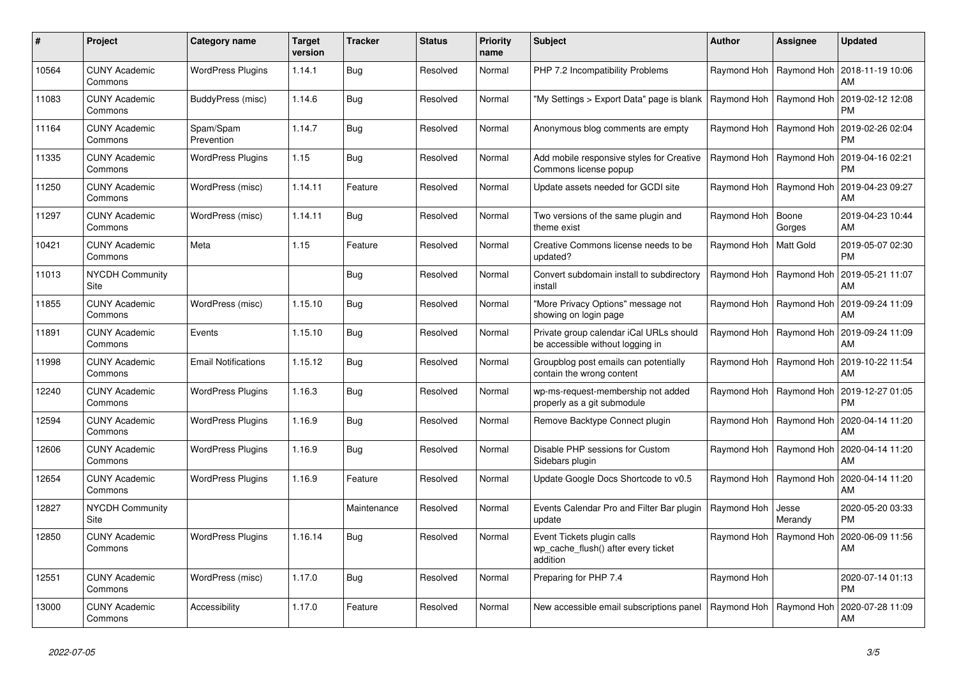| #     | Project                         | Category name              | <b>Target</b><br>version | Tracker     | <b>Status</b> | <b>Priority</b><br>name | <b>Subject</b>                                                                | <b>Author</b> | Assignee                  | <b>Updated</b>                                     |
|-------|---------------------------------|----------------------------|--------------------------|-------------|---------------|-------------------------|-------------------------------------------------------------------------------|---------------|---------------------------|----------------------------------------------------|
| 10564 | <b>CUNY Academic</b><br>Commons | <b>WordPress Plugins</b>   | 1.14.1                   | Bug         | Resolved      | Normal                  | PHP 7.2 Incompatibility Problems                                              |               | Raymond Hoh   Raymond Hoh | 2018-11-19 10:06<br>AM                             |
| 11083 | <b>CUNY Academic</b><br>Commons | BuddyPress (misc)          | 1.14.6                   | Bug         | Resolved      | Normal                  | 'My Settings > Export Data" page is blank                                     |               | Raymond Hoh   Raymond Hoh | 2019-02-12 12:08<br><b>PM</b>                      |
| 11164 | <b>CUNY Academic</b><br>Commons | Spam/Spam<br>Prevention    | 1.14.7                   | Bug         | Resolved      | Normal                  | Anonymous blog comments are empty                                             | Raymond Hoh   | Raymond Hoh               | 2019-02-26 02:04<br><b>PM</b>                      |
| 11335 | <b>CUNY Academic</b><br>Commons | <b>WordPress Plugins</b>   | 1.15                     | Bug         | Resolved      | Normal                  | Add mobile responsive styles for Creative<br>Commons license popup            |               | Raymond Hoh   Raymond Hoh | 2019-04-16 02:21<br><b>PM</b>                      |
| 11250 | <b>CUNY Academic</b><br>Commons | WordPress (misc)           | 1.14.11                  | Feature     | Resolved      | Normal                  | Update assets needed for GCDI site                                            |               | Raymond Hoh   Raymond Hoh | 2019-04-23 09:27<br>AM                             |
| 11297 | <b>CUNY Academic</b><br>Commons | WordPress (misc)           | 1.14.11                  | Bug         | Resolved      | Normal                  | Two versions of the same plugin and<br>theme exist                            | Raymond Hoh   | Boone<br>Gorges           | 2019-04-23 10:44<br>AM                             |
| 10421 | <b>CUNY Academic</b><br>Commons | Meta                       | 1.15                     | Feature     | Resolved      | Normal                  | Creative Commons license needs to be<br>updated?                              | Raymond Hoh   | <b>Matt Gold</b>          | 2019-05-07 02:30<br><b>PM</b>                      |
| 11013 | NYCDH Community<br>Site         |                            |                          | Bug         | Resolved      | Normal                  | Convert subdomain install to subdirectory<br>install                          |               | Raymond Hoh   Raymond Hoh | 2019-05-21 11:07<br>AM                             |
| 11855 | <b>CUNY Academic</b><br>Commons | WordPress (misc)           | 1.15.10                  | Bug         | Resolved      | Normal                  | "More Privacy Options" message not<br>showing on login page                   | Raymond Hoh   | Raymond Hoh               | 2019-09-24 11:09<br>AM                             |
| 11891 | <b>CUNY Academic</b><br>Commons | Events                     | 1.15.10                  | Bug         | Resolved      | Normal                  | Private group calendar iCal URLs should<br>be accessible without logging in   |               | Raymond Hoh   Raymond Hoh | 2019-09-24 11:09<br>AM                             |
| 11998 | <b>CUNY Academic</b><br>Commons | <b>Email Notifications</b> | 1.15.12                  | Bug         | Resolved      | Normal                  | Groupblog post emails can potentially<br>contain the wrong content            |               | Raymond Hoh   Raymond Hoh | 2019-10-22 11:54<br>AM                             |
| 12240 | <b>CUNY Academic</b><br>Commons | <b>WordPress Plugins</b>   | 1.16.3                   | Bug         | Resolved      | Normal                  | wp-ms-request-membership not added<br>properly as a git submodule             |               | Raymond Hoh   Raymond Hoh | 2019-12-27 01:05<br><b>PM</b>                      |
| 12594 | <b>CUNY Academic</b><br>Commons | <b>WordPress Plugins</b>   | 1.16.9                   | Bug         | Resolved      | Normal                  | Remove Backtype Connect plugin                                                |               |                           | Raymond Hoh   Raymond Hoh   2020-04-14 11:20<br>AM |
| 12606 | <b>CUNY Academic</b><br>Commons | <b>WordPress Plugins</b>   | 1.16.9                   | Bug         | Resolved      | Normal                  | Disable PHP sessions for Custom<br>Sidebars plugin                            |               | Raymond Hoh   Raymond Hoh | 2020-04-14 11:20<br>AM                             |
| 12654 | <b>CUNY Academic</b><br>Commons | <b>WordPress Plugins</b>   | 1.16.9                   | Feature     | Resolved      | Normal                  | Update Google Docs Shortcode to v0.5                                          | Raymond Hoh   | Raymond Hoh               | 2020-04-14 11:20<br>AM                             |
| 12827 | <b>NYCDH Community</b><br>Site  |                            |                          | Maintenance | Resolved      | Normal                  | Events Calendar Pro and Filter Bar plugin<br>update                           | Raymond Hoh   | Jesse<br>Merandy          | 2020-05-20 03:33<br><b>PM</b>                      |
| 12850 | <b>CUNY Academic</b><br>Commons | <b>WordPress Plugins</b>   | 1.16.14                  | Bug         | Resolved      | Normal                  | Event Tickets plugin calls<br>wp cache flush() after every ticket<br>addition |               | Raymond Hoh   Raymond Hoh | 2020-06-09 11:56<br>AM                             |
| 12551 | <b>CUNY Academic</b><br>Commons | WordPress (misc)           | 1.17.0                   | Bug         | Resolved      | Normal                  | Preparing for PHP 7.4                                                         | Raymond Hoh   |                           | 2020-07-14 01:13<br><b>PM</b>                      |
| 13000 | CUNY Academic<br>Commons        | Accessibility              | 1.17.0                   | Feature     | Resolved      | Normal                  | New accessible email subscriptions panel                                      |               | Raymond Hoh   Raymond Hoh | 2020-07-28 11:09<br>AM                             |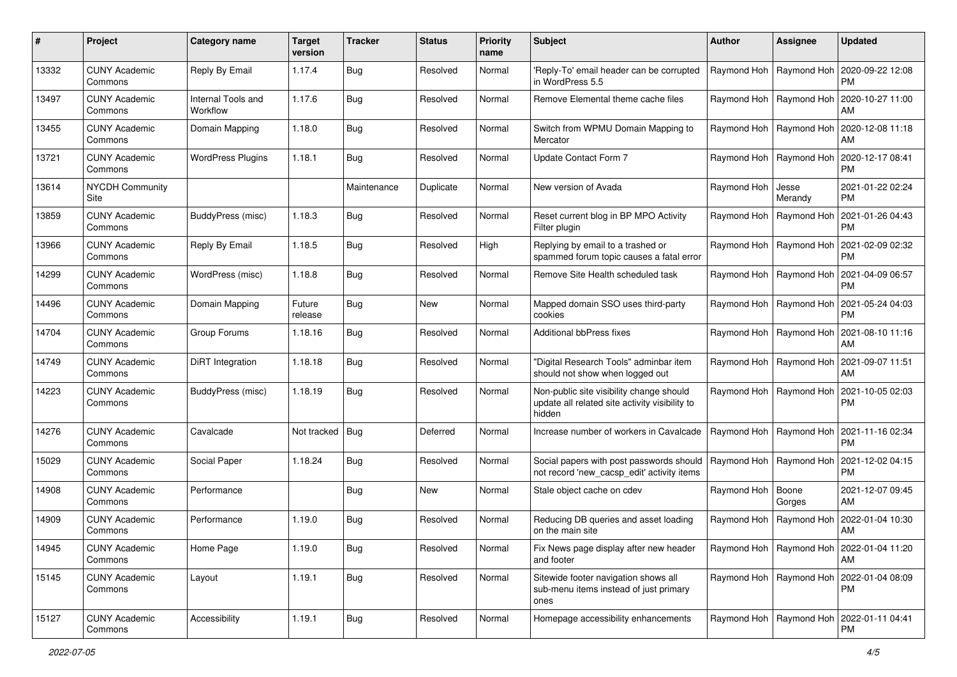| #     | Project                         | Category name                  | <b>Target</b><br>version | <b>Tracker</b> | <b>Status</b> | <b>Priority</b><br>name | <b>Subject</b>                                                                                       | <b>Author</b>             | Assignee                  | <b>Updated</b>                                     |
|-------|---------------------------------|--------------------------------|--------------------------|----------------|---------------|-------------------------|------------------------------------------------------------------------------------------------------|---------------------------|---------------------------|----------------------------------------------------|
| 13332 | <b>CUNY Academic</b><br>Commons | Reply By Email                 | 1.17.4                   | Bug            | Resolved      | Normal                  | 'Reply-To' email header can be corrupted<br>in WordPress 5.5                                         | Raymond Hoh               | Raymond Hoh               | 2020-09-22 12:08<br>PM.                            |
| 13497 | <b>CUNY Academic</b><br>Commons | Internal Tools and<br>Workflow | 1.17.6                   | <b>Bug</b>     | Resolved      | Normal                  | Remove Elemental theme cache files                                                                   | Raymond Hoh               | Raymond Hoh               | 2020-10-27 11:00<br>AM                             |
| 13455 | <b>CUNY Academic</b><br>Commons | Domain Mapping                 | 1.18.0                   | Bug            | Resolved      | Normal                  | Switch from WPMU Domain Mapping to<br>Mercator                                                       | Raymond Hoh               | Raymond Hoh               | 2020-12-08 11:18<br>AM                             |
| 13721 | <b>CUNY Academic</b><br>Commons | <b>WordPress Plugins</b>       | 1.18.1                   | Bug            | Resolved      | Normal                  | Update Contact Form 7                                                                                | Raymond Hoh               | Raymond Hoh               | 2020-12-17 08:41<br>PM                             |
| 13614 | <b>NYCDH Community</b><br>Site  |                                |                          | Maintenance    | Duplicate     | Normal                  | New version of Avada                                                                                 | Raymond Hoh               | Jesse<br>Merandy          | 2021-01-22 02:24<br><b>PM</b>                      |
| 13859 | <b>CUNY Academic</b><br>Commons | BuddyPress (misc)              | 1.18.3                   | Bug            | Resolved      | Normal                  | Reset current blog in BP MPO Activity<br>Filter plugin                                               | Raymond Hoh               | Raymond Hoh               | 2021-01-26 04:43<br><b>PM</b>                      |
| 13966 | <b>CUNY Academic</b><br>Commons | Reply By Email                 | 1.18.5                   | Bug            | Resolved      | High                    | Replying by email to a trashed or<br>spammed forum topic causes a fatal error                        | Raymond Hoh               | Raymond Hoh               | 2021-02-09 02:32<br><b>PM</b>                      |
| 14299 | <b>CUNY Academic</b><br>Commons | WordPress (misc)               | 1.18.8                   | Bug            | Resolved      | Normal                  | Remove Site Health scheduled task                                                                    | Raymond Hoh               | Raymond Hoh               | 2021-04-09 06:57<br><b>PM</b>                      |
| 14496 | <b>CUNY Academic</b><br>Commons | Domain Mapping                 | Future<br>release        | Bug            | New           | Normal                  | Mapped domain SSO uses third-party<br>cookies                                                        | Raymond Hoh               | Raymond Hoh               | 2021-05-24 04:03<br><b>PM</b>                      |
| 14704 | <b>CUNY Academic</b><br>Commons | Group Forums                   | 1.18.16                  | Bug            | Resolved      | Normal                  | Additional bbPress fixes                                                                             | Raymond Hoh               | Raymond Hoh               | 2021-08-10 11:16<br>AM                             |
| 14749 | <b>CUNY Academic</b><br>Commons | DiRT Integration               | 1.18.18                  | Bug            | Resolved      | Normal                  | "Digital Research Tools" adminbar item<br>should not show when logged out                            | Raymond Hoh               | Raymond Hoh               | 2021-09-07 11:51<br>AM                             |
| 14223 | <b>CUNY Academic</b><br>Commons | BuddyPress (misc)              | 1.18.19                  | Bug            | Resolved      | Normal                  | Non-public site visibility change should<br>update all related site activity visibility to<br>hidden | Raymond Hoh   Raymond Hoh |                           | 2021-10-05 02:03<br>PM                             |
| 14276 | <b>CUNY Academic</b><br>Commons | Cavalcade                      | Not tracked              | $ $ Bug        | Deferred      | Normal                  | Increase number of workers in Cavalcade                                                              | Raymond Hoh               | Raymond Hoh               | 2021-11-16 02:34<br><b>PM</b>                      |
| 15029 | <b>CUNY Academic</b><br>Commons | Social Paper                   | 1.18.24                  | Bug            | Resolved      | Normal                  | Social papers with post passwords should<br>not record 'new_cacsp_edit' activity items               | Raymond Hoh               | Raymond Hoh               | 2021-12-02 04:15<br><b>PM</b>                      |
| 14908 | <b>CUNY Academic</b><br>Commons | Performance                    |                          | Bug            | <b>New</b>    | Normal                  | Stale object cache on cdev                                                                           | Raymond Hoh               | Boone<br>Gorges           | 2021-12-07 09:45<br>AM                             |
| 14909 | <b>CUNY Academic</b><br>Commons | Performance                    | 1.19.0                   | Bug            | Resolved      | Normal                  | Reducing DB queries and asset loading<br>on the main site                                            | Raymond Hoh               | Raymond Hoh               | 2022-01-04 10:30<br>AM                             |
| 14945 | <b>CUNY Academic</b><br>Commons | Home Page                      | 1.19.0                   | Bug            | Resolved      | Normal                  | Fix News page display after new header<br>and footer                                                 |                           |                           | Raymond Hoh   Raymond Hoh   2022-01-04 11:20<br>AM |
| 15145 | <b>CUNY Academic</b><br>Commons | Layout                         | 1.19.1                   | <b>Bug</b>     | Resolved      | Normal                  | Sitewide footer navigation shows all<br>sub-menu items instead of just primary<br>ones               |                           | Raymond Hoh   Raymond Hoh | 2022-01-04 08:09<br><b>PM</b>                      |
| 15127 | <b>CUNY Academic</b><br>Commons | Accessibility                  | 1.19.1                   | <b>Bug</b>     | Resolved      | Normal                  | Homepage accessibility enhancements                                                                  |                           | Raymond Hoh   Raymond Hoh | 2022-01-11 04:41<br>PM                             |